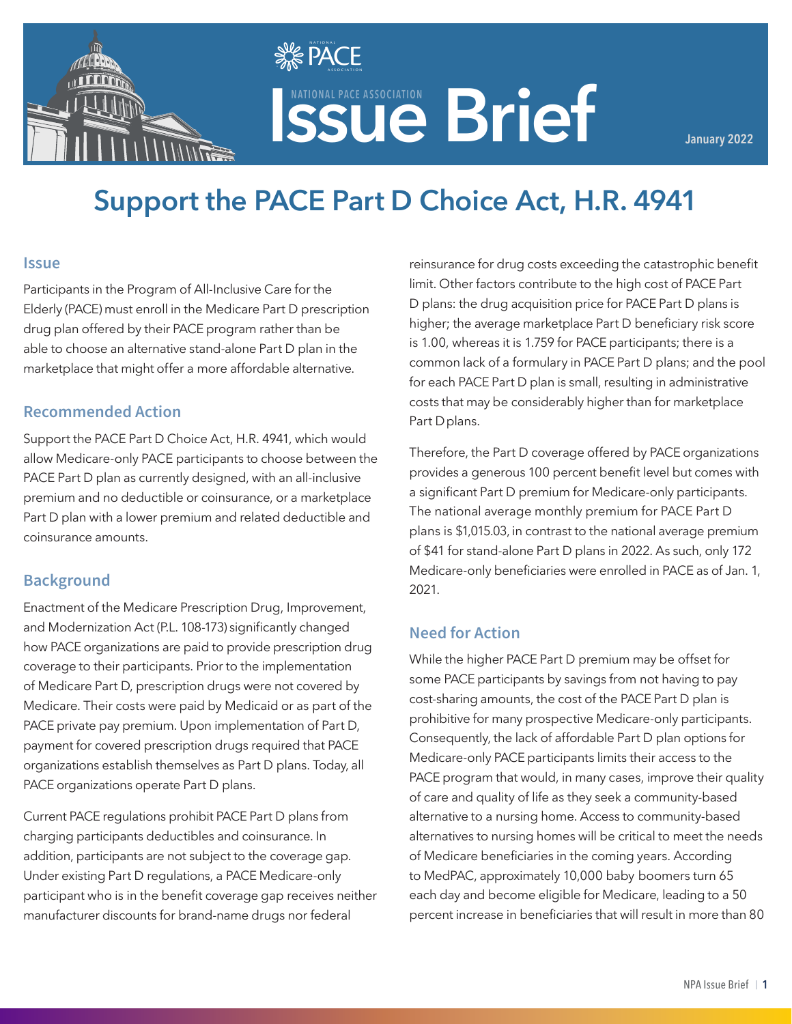

# **ISSUE Brief ASSOCIATION**

**January 2022**

## **Support the PACE Part D Choice Act, H.R. 4941**

**SE PACE**  $\mathbf{v}$   $\mathbf{v}$   $\mathbf{v}$  association

#### **Issue**

Participants in the Program of All-Inclusive Care for the Elderly (PACE) must enroll in the Medicare Part D prescription drug plan offered by their PACE program rather than be able to choose an alternative stand-alone Part D plan in the marketplace that might offer a more affordable alternative.

#### **Recommended Action**

Support the PACE Part D Choice Act, H.R. 4941, which would allow Medicare-only PACE participants to choose between the PACE Part D plan as currently designed, with an all-inclusive premium and no deductible or coinsurance, or a marketplace Part D plan with a lower premium and related deductible and coinsurance amounts.

#### **Background**

Enactment of the Medicare Prescription Drug, Improvement, and Modernization Act (P.L. 108-173) significantly changed how PACE organizations are paid to provide prescription drug coverage to their participants. Prior to the implementation of Medicare Part D, prescription drugs were not covered by Medicare. Their costs were paid by Medicaid or as part of the PACE private pay premium. Upon implementation of Part D, payment for covered prescription drugs required that PACE organizations establish themselves as Part D plans. Today, all PACE organizations operate Part D plans.

Current PACE regulations prohibit PACE Part D plans from charging participants deductibles and coinsurance. In addition, participants are not subject to the coverage gap. Under existing Part D regulations, a PACE Medicare-only participant who is in the benefit coverage gap receives neither manufacturer discounts for brand-name drugs nor federal

reinsurance for drug costs exceeding the catastrophic benefit limit. Other factors contribute to the high cost of PACE Part D plans: the drug acquisition price for PACE Part D plans is higher; the average marketplace Part D beneficiary risk score is 1.00, whereas it is 1.759 for PACE participants; there is a common lack of a formulary in PACE Part D plans; and the pool for each PACE Part D plan is small, resulting in administrative costs that may be considerably higher than for marketplace Part D plans.

Therefore, the Part D coverage offered by PACE organizations provides a generous 100 percent benefit level but comes with a significant Part D premium for Medicare-only participants. The national average monthly premium for PACE Part D plans is \$1,015.03, in contrast to the national average premium of \$41 for stand-alone Part D plans in 2022. As such, only 172 Medicare-only beneficiaries were enrolled in PACE as of Jan. 1, 2021.

#### **Need for Action**

While the higher PACE Part D premium may be offset for some PACE participants by savings from not having to pay cost-sharing amounts, the cost of the PACE Part D plan is prohibitive for many prospective Medicare-only participants. Consequently, the lack of affordable Part D plan options for Medicare-only PACE participants limits their access to the PACE program that would, in many cases, improve their quality of care and quality of life as they seek a community-based alternative to a nursing home. Access to community-based alternatives to nursing homes will be critical to meet the needs of Medicare beneficiaries in the coming years. According to MedPAC, approximately 10,000 baby boomers turn 65 each day and become eligible for Medicare, leading to a 50 percent increase in beneficiaries that will result in more than 80